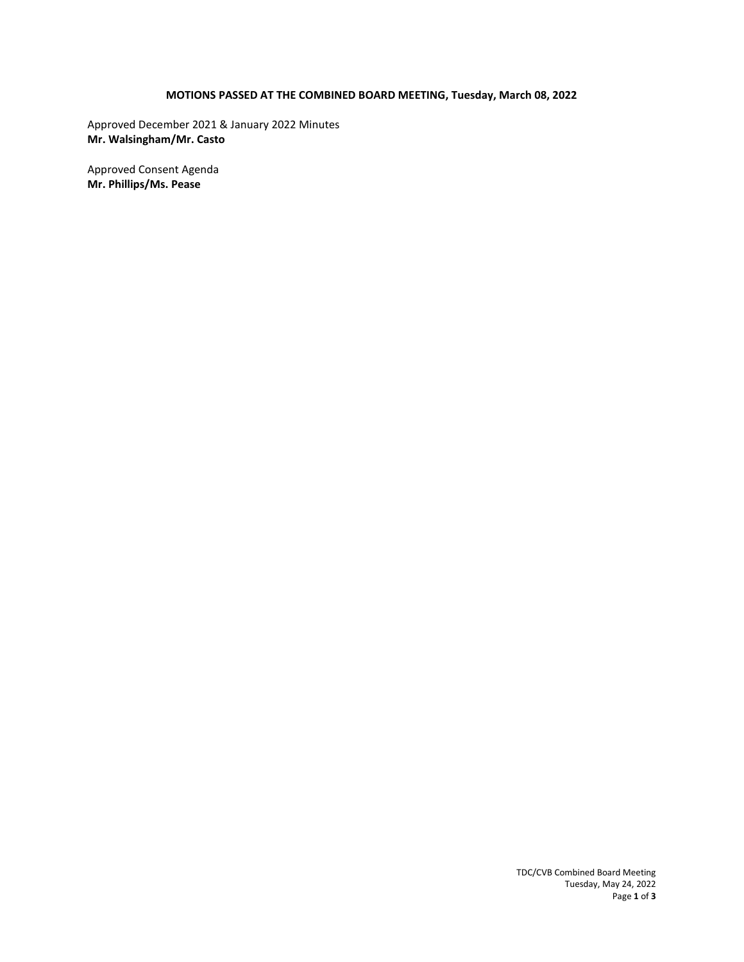# **MOTIONS PASSED AT THE COMBINED BOARD MEETING, Tuesday, March 08, 2022**

Approved December 2021 & January 2022 Minutes **Mr. Walsingham/Mr. Casto** 

Approved Consent Agenda **Mr. Phillips/Ms. Pease**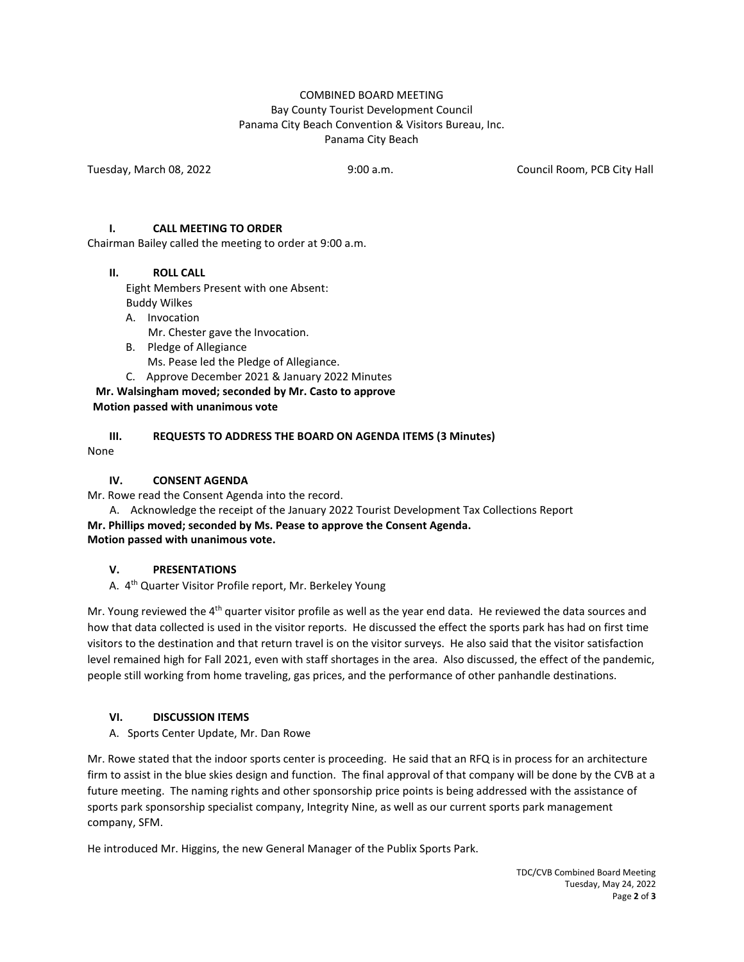#### COMBINED BOARD MEETING Bay County Tourist Development Council Panama City Beach Convention & Visitors Bureau, Inc. Panama City Beach

Tuesday, March 08, 2022 9:00 a.m. Council Room, PCB City Hall

#### **I. CALL MEETING TO ORDER**

Chairman Bailey called the meeting to order at 9:00 a.m.

#### **II. ROLL CALL**

Eight Members Present with one Absent:

Buddy Wilkes

- A. Invocation Mr. Chester gave the Invocation.
- B. Pledge of Allegiance

Ms. Pease led the Pledge of Allegiance.

C. Approve December 2021 & January 2022 Minutes

**Mr. Walsingham moved; seconded by Mr. Casto to approve** 

#### **Motion passed with unanimous vote**

# **III. REQUESTS TO ADDRESS THE BOARD ON AGENDA ITEMS (3 Minutes)**

None

#### **IV. CONSENT AGENDA**

Mr. Rowe read the Consent Agenda into the record.

 A. Acknowledge the receipt of the January 2022 Tourist Development Tax Collections Report **Mr. Phillips moved; seconded by Ms. Pease to approve the Consent Agenda. Motion passed with unanimous vote.** 

#### **V. PRESENTATIONS**

A. 4<sup>th</sup> Quarter Visitor Profile report, Mr. Berkeley Young

Mr. Young reviewed the 4<sup>th</sup> quarter visitor profile as well as the year end data. He reviewed the data sources and how that data collected is used in the visitor reports. He discussed the effect the sports park has had on first time visitors to the destination and that return travel is on the visitor surveys. He also said that the visitor satisfaction level remained high for Fall 2021, even with staff shortages in the area. Also discussed, the effect of the pandemic, people still working from home traveling, gas prices, and the performance of other panhandle destinations.

# **VI. DISCUSSION ITEMS**

A. Sports Center Update, Mr. Dan Rowe

Mr. Rowe stated that the indoor sports center is proceeding. He said that an RFQ is in process for an architecture firm to assist in the blue skies design and function. The final approval of that company will be done by the CVB at a future meeting. The naming rights and other sponsorship price points is being addressed with the assistance of sports park sponsorship specialist company, Integrity Nine, as well as our current sports park management company, SFM.

He introduced Mr. Higgins, the new General Manager of the Publix Sports Park.